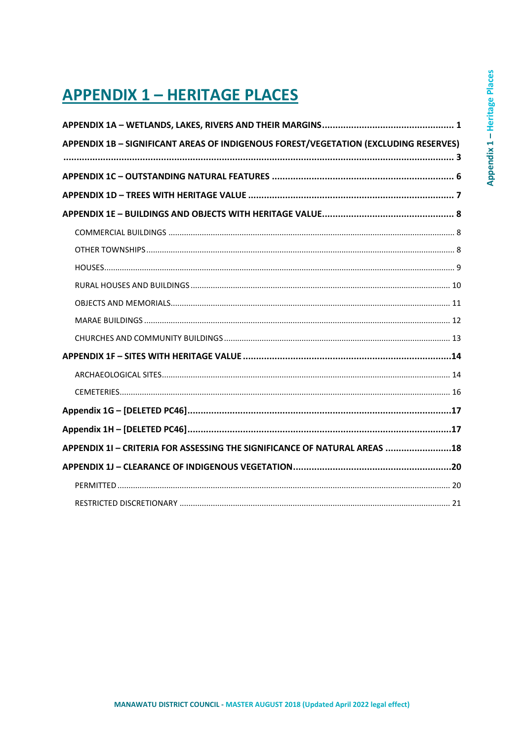# **APPENDIX 1 - HERITAGE PLACES**

| APPENDIX 1B - SIGNIFICANT AREAS OF INDIGENOUS FOREST/VEGETATION (EXCLUDING RESERVES) |  |
|--------------------------------------------------------------------------------------|--|
|                                                                                      |  |
|                                                                                      |  |
|                                                                                      |  |
|                                                                                      |  |
|                                                                                      |  |
|                                                                                      |  |
|                                                                                      |  |
|                                                                                      |  |
|                                                                                      |  |
|                                                                                      |  |
|                                                                                      |  |
|                                                                                      |  |
|                                                                                      |  |
|                                                                                      |  |
|                                                                                      |  |
|                                                                                      |  |
| APPENDIX 11 - CRITERIA FOR ASSESSING THE SIGNIFICANCE OF NATURAL AREAS  18           |  |
|                                                                                      |  |
|                                                                                      |  |
|                                                                                      |  |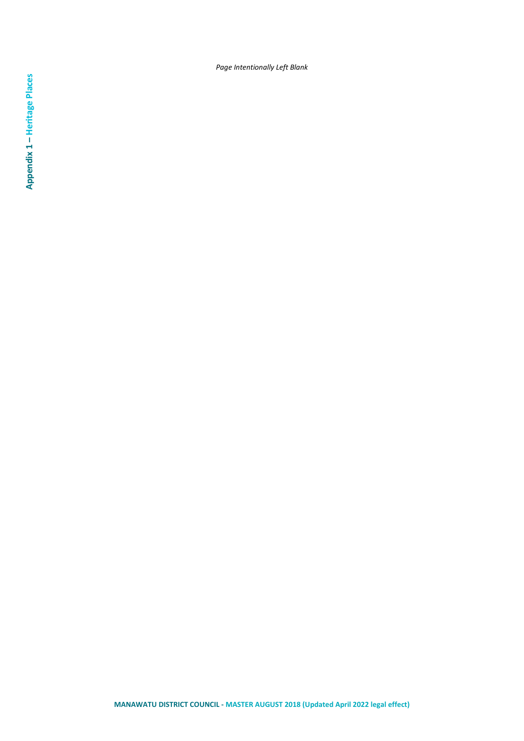*Page Intentionally Left Blank*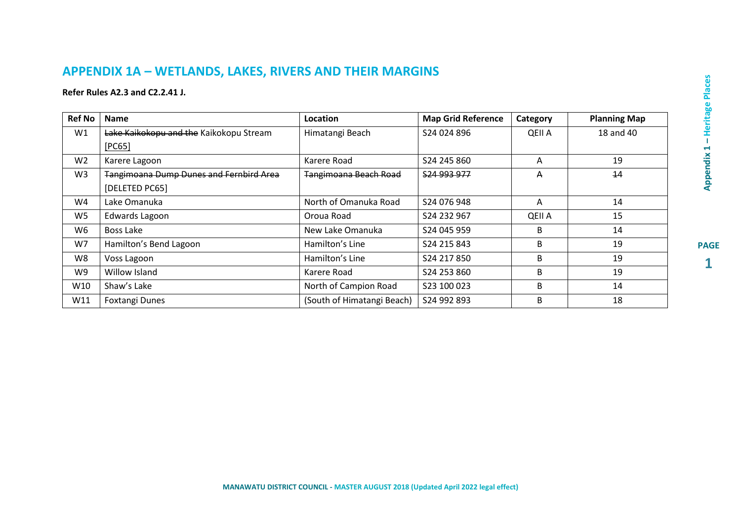# **APPENDIX 1A – WETLANDS, LAKES, RIVERS AND THEIR MARGINS**

### **Refer Rules A2.3 and C2.2.41 J.**

<span id="page-4-0"></span>

| <b>Ref No</b>  | <b>Name</b>                                    | Location                   | <b>Map Grid Reference</b> | Category      | <b>Planning Map</b> |
|----------------|------------------------------------------------|----------------------------|---------------------------|---------------|---------------------|
| W1             | Lake Kaikokopu and the Kaikokopu Stream        | Himatangi Beach            | S24 024 896               | <b>QEII A</b> | 18 and 40           |
|                | [PC65]                                         |                            |                           |               |                     |
| W <sub>2</sub> | Karere Lagoon                                  | Karere Road                | S24 245 860               | A             | 19                  |
| W <sub>3</sub> | <b>Tangimoana Dump Dunes and Fernbird Area</b> | Tangimoana Beach Road      | S <sub>24</sub> 993 977   | A             | 14                  |
|                | [DELETED PC65]                                 |                            |                           |               |                     |
| W4             | Lake Omanuka                                   | North of Omanuka Road      | S24 076 948               | A             | 14                  |
| W5             | Edwards Lagoon                                 | Oroua Road                 | S <sub>24</sub> 232 967   | <b>QEII A</b> | 15                  |
| W6             | Boss Lake                                      | New Lake Omanuka           | S24 045 959               | B             | 14                  |
| W7             | Hamilton's Bend Lagoon                         | Hamilton's Line            | S24 215 843               | B             | 19                  |
| W8             | Voss Lagoon                                    | Hamilton's Line            | S24 217 850               | B             | 19                  |
| W9             | Willow Island                                  | Karere Road                | S24 253 860               | B             | 19                  |
| W10            | Shaw's Lake                                    | North of Campion Road      | S23 100 023               | B             | 14                  |
| W11            | <b>Foxtangi Dunes</b>                          | (South of Himatangi Beach) | S24 992 893               | B             | 18                  |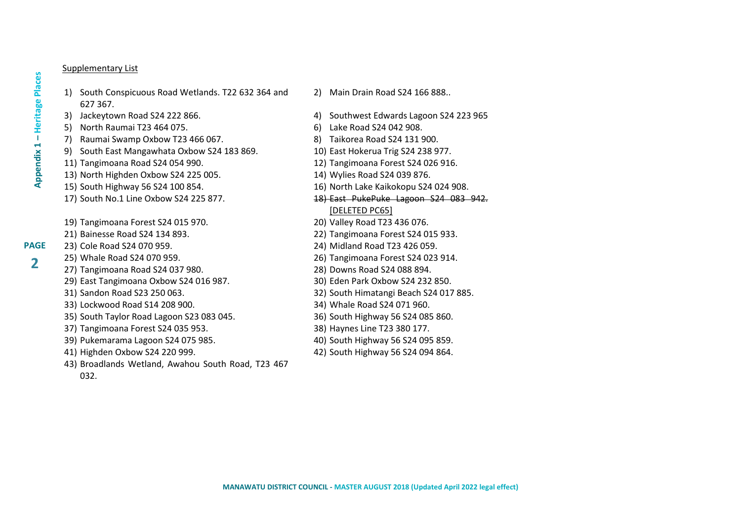### Supplementary List

- 1) South Conspicuous Road Wetlands. T22 632 364 and 627 367.
- 
- 5) North Raumai T23 464 075. 6) Lake Road S24 042 908.
- 7) Raumai Swamp Oxbow T23 466 067. 8) Taikorea Road S24 131 900.
- 9) South East Mangawhata Oxbow S24 183 869. 10) East Hokerua Trig S24 238 977.
- 11) Tangimoana Road S24 054 990. 12) Tangimoana Forest S24 026 916.
- 13) North Highden Oxbow S24 225 005. 14) Wylies Road S24 039 876.
- 15) South Highway 56 S24 100 854. 16) North Lake Kaikokopu S24 024 908.
- 
- 19) Tangimoana Forest S24 015 970. 20) Valley Road T23 436 076.
- 
- **PAGE**
	-
	- 27) Tangimoana Road S24 037 980. 28) Downs Road S24 088 894.
	- 29) East Tangimoana Oxbow S24 016 987. 30) Eden Park Oxbow S24 232 850.
	-
	-
	- 33) Lockwood Road S14 208 900.<br>35) South Taylor Road Lagoon S23 083 045. 36) South Highway 56 S24 085 860. 35) South Taylor Road Lagoon S23 083 045.
	- 37) Tangimoana Forest S24 035 953. 38) Haynes Line T23 380 177.
	- 39) Pukemarama Lagoon S24 075 985. 40) South Highway 56 S24 095 859.
	-
	- 43) Broadlands Wetland, Awahou South Road, T23 467 032.
- 2) Main Drain Road S24 166 888..
- 3) Jackeytown Road S24 222 866. 4) Southwest Edwards Lagoon S24 223 965
	-
	-
	-
	-
	-
	-
- 17) South No.1 Line Oxbow S24 225 877. 1890 1890 1890 East PukePuke Lagoon S24 083 942. [DELETED PC65]
	-
- 21) Bainesse Road S24 134 893. 22) Tangimoana Forest S24 015 933.
- 23) Cole Road S24 070 959. 24) Midland Road T23 426 059.
- 25) Whale Road S24 070 959. 26) Tangimoana Forest S24 023 914.
	-
	-
- 31) Sandon Road S23 250 063. 32) South Himatangi Beach S24 017 885.
	-
	-
	-
	-
- 41) Highden Oxbow S24 220 999. 42) South Highway 56 S24 094 864.

 $\overline{2}$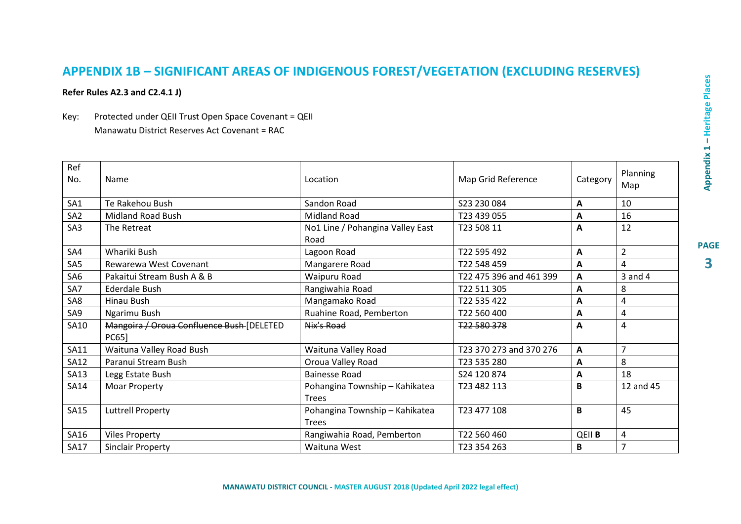# **PAGE 3**

# **APPENDIX 1B – SIGNIFICANT AREAS OF INDIGENOUS FOREST/VEGETATION (EXCLUDING RESERVES)**

### **Refer Rules A2.3 and C2.4.1 J)**

| Key: | Protected under QEII Trust Open Space Covenant = QEII |
|------|-------------------------------------------------------|
|      | Manawatu District Reserves Act Covenant = RAC         |

<span id="page-6-0"></span>

| Ref<br>No.      | Name                                               | Location                                       | Map Grid Reference      | Category      | Planning<br>Map |
|-----------------|----------------------------------------------------|------------------------------------------------|-------------------------|---------------|-----------------|
| SA1             | Te Rakehou Bush                                    | Sandon Road                                    | S23 230 084             | A             | 10              |
| SA <sub>2</sub> | <b>Midland Road Bush</b>                           | Midland Road                                   | T23 439 055             | A             | 16              |
| SA3             | The Retreat                                        | No1 Line / Pohangina Valley East<br>Road       | T23 508 11              | A             | 12              |
| SA4             | Whariki Bush                                       | Lagoon Road                                    | T22 595 492             | A             | $\overline{2}$  |
| SA <sub>5</sub> | Rewarewa West Covenant                             | Mangarere Road                                 | T22 548 459             | A             | 4               |
| SA6             | Pakaitui Stream Bush A & B                         | Waipuru Road                                   | T22 475 396 and 461 399 | A             | $3$ and $4$     |
| SA7             | Ederdale Bush                                      | Rangiwahia Road                                | T22 511 305             | A             | 8               |
| SA8             | Hinau Bush                                         | Mangamako Road                                 | T22 535 422             | A             | 4               |
| SA9             | Ngarimu Bush                                       | Ruahine Road, Pemberton                        | T22 560 400             | A             | 4               |
| <b>SA10</b>     | Mangoira / Oroua Confluence Bush [DELETED<br>PC65] | Nix's Road                                     | T <sub>22</sub> 580 378 | $\mathbf{A}$  | $\overline{4}$  |
| <b>SA11</b>     | Waituna Valley Road Bush                           | Waituna Valley Road                            | T23 370 273 and 370 276 | A             | $\overline{7}$  |
| <b>SA12</b>     | Paranui Stream Bush                                | Oroua Valley Road                              | T23 535 280             | A             | 8               |
| <b>SA13</b>     | Legg Estate Bush                                   | <b>Bainesse Road</b>                           | S24 120 874             | A             | 18              |
| <b>SA14</b>     | Moar Property                                      | Pohangina Township - Kahikatea<br><b>Trees</b> | T23 482 113             | B             | 12 and 45       |
| <b>SA15</b>     | <b>Luttrell Property</b>                           | Pohangina Township - Kahikatea<br><b>Trees</b> | T23 477 108             | B             | 45              |
| SA16            | <b>Viles Property</b>                              | Rangiwahia Road, Pemberton                     | T22 560 460             | <b>QEII B</b> | 4               |
| <b>SA17</b>     | <b>Sinclair Property</b>                           | Waituna West                                   | T23 354 263             | B             | $\overline{7}$  |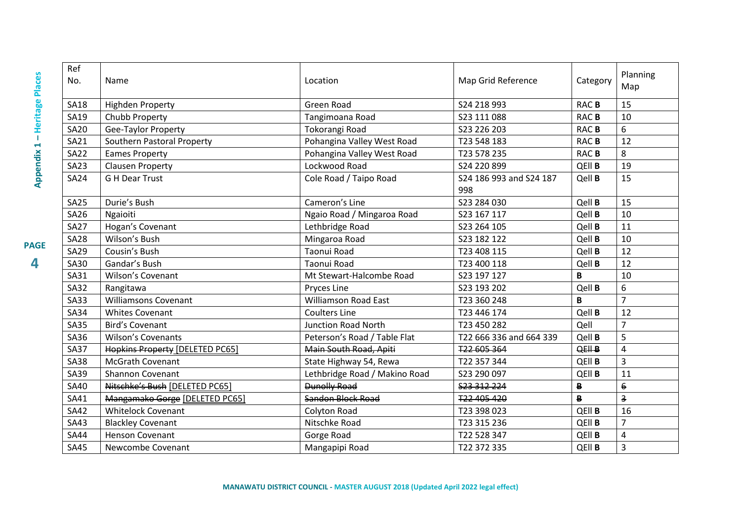| Ref<br>No.  | Name                                   | Location                      | Map Grid Reference      | Category         | Planning<br>Map         |
|-------------|----------------------------------------|-------------------------------|-------------------------|------------------|-------------------------|
| <b>SA18</b> | <b>Highden Property</b>                | Green Road                    | S24 218 993             | RAC <sub>B</sub> | 15                      |
| <b>SA19</b> | Chubb Property                         | Tangimoana Road               | S23 111 088             | <b>RACB</b>      | 10                      |
| <b>SA20</b> | <b>Gee-Taylor Property</b>             | Tokorangi Road                | S23 226 203             | RAC <sub>B</sub> | 6                       |
| SA21        | Southern Pastoral Property             | Pohangina Valley West Road    | T23 548 183             | RAC <sub>B</sub> | 12                      |
| <b>SA22</b> | <b>Eames Property</b>                  | Pohangina Valley West Road    | T23 578 235             | RAC <sub>B</sub> | 8                       |
| <b>SA23</b> | <b>Clausen Property</b>                | Lockwood Road                 | S24 220 899             | <b>QEII B</b>    | 19                      |
| <b>SA24</b> | <b>G H Dear Trust</b>                  | Cole Road / Taipo Road        | S24 186 993 and S24 187 | Qell <b>B</b>    | 15                      |
|             |                                        |                               | 998                     |                  |                         |
| <b>SA25</b> | Durie's Bush                           | Cameron's Line                | S23 284 030             | Qell <b>B</b>    | 15                      |
| <b>SA26</b> | Ngaioiti                               | Ngaio Road / Mingaroa Road    | S23 167 117             | Qell <b>B</b>    | 10                      |
| <b>SA27</b> | Hogan's Covenant                       | Lethbridge Road               | S23 264 105             | Qell <b>B</b>    | 11                      |
| <b>SA28</b> | Wilson's Bush                          | Mingaroa Road                 | S23 182 122             | Qell <b>B</b>    | 10                      |
| <b>SA29</b> | Cousin's Bush                          | Taonui Road                   | T23 408 115             | Qell <b>B</b>    | 12                      |
| <b>SA30</b> | Gandar's Bush                          | Taonui Road                   | T23 400 118             | Qell <b>B</b>    | 12                      |
| SA31        | <b>Wilson's Covenant</b>               | Mt Stewart-Halcombe Road      | S23 197 127             | B                | 10                      |
| <b>SA32</b> | Rangitawa                              | Pryces Line                   | S23 193 202             | Qell <b>B</b>    | 6                       |
| <b>SA33</b> | <b>Williamsons Covenant</b>            | <b>Williamson Road East</b>   | T23 360 248             | B                | $\overline{7}$          |
| <b>SA34</b> | <b>Whites Covenant</b>                 | <b>Coulters Line</b>          | T23 446 174             | Qell <b>B</b>    | 12                      |
| <b>SA35</b> | <b>Bird's Covenant</b>                 | <b>Junction Road North</b>    | T23 450 282             | Qell             | $\overline{7}$          |
| <b>SA36</b> | <b>Wilson's Covenants</b>              | Peterson's Road / Table Flat  | T22 666 336 and 664 339 | Qell <b>B</b>    | 5                       |
| <b>SA37</b> | <b>Hopkins Property [DELETED PC65]</b> | Main South Road, Apiti        | T22 605 364             | QEHB             | $\overline{\mathbf{4}}$ |
| <b>SA38</b> | <b>McGrath Covenant</b>                | State Highway 54, Rewa        | T22 357 344             | <b>QEII B</b>    | $\overline{3}$          |
| SA39        | <b>Shannon Covenant</b>                | Lethbridge Road / Makino Road | S23 290 097             | <b>QEII B</b>    | 11                      |
| <b>SA40</b> | Nitschke's Bush [DELETED PC65]         | <b>Dunolly Road</b>           | S23 312 224             | В                | $\boldsymbol{6}$        |
| SA41        | Mangamako Gorge [DELETED PC65]         | Sandon Block Road             | T <sub>22</sub> 405 420 | В                | $\overline{\mathbf{3}}$ |
| <b>SA42</b> | <b>Whitelock Covenant</b>              | Colyton Road                  | T23 398 023             | <b>QEII B</b>    | 16                      |
| <b>SA43</b> | <b>Blackley Covenant</b>               | Nitschke Road                 | T23 315 236             | <b>QEII B</b>    | $\overline{7}$          |
| <b>SA44</b> | <b>Henson Covenant</b>                 | Gorge Road                    | T22 528 347             | <b>QEII B</b>    | $\pmb{4}$               |
| <b>SA45</b> | Newcombe Covenant                      | Mangapipi Road                | T22 372 335             | <b>QEII B</b>    | 3                       |
|             |                                        |                               |                         |                  |                         |

**PAGE**  $\overline{\mathbf{4}}$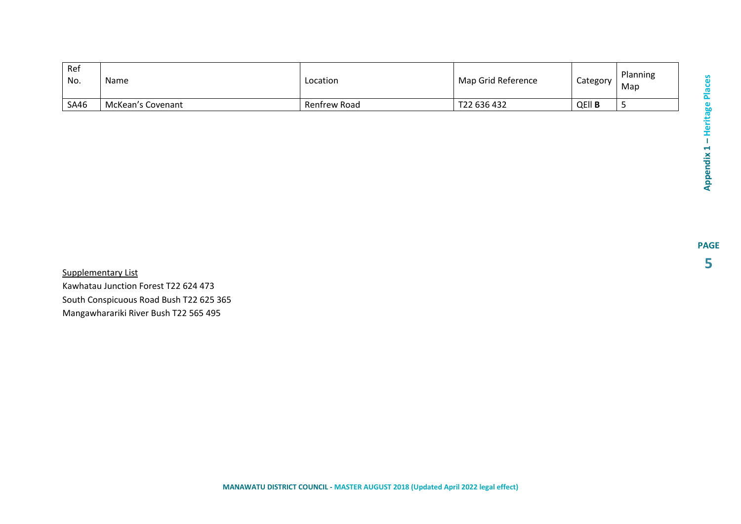| Ref<br>No. | Name              | Location     | Map Grid Reference | Category      | Planning<br>Map |
|------------|-------------------|--------------|--------------------|---------------|-----------------|
| SA46       | McKean's Covenant | Renfrew Road | T22 636 432        | <b>QEII B</b> | ٠               |

Supplementary List Kawhatau Junction Forest T22 624 473 South Conspicuous Road Bush T22 625 365 Mangawharariki River Bush T22 565 495

**PAGE**

**5**

**– Heritage Places**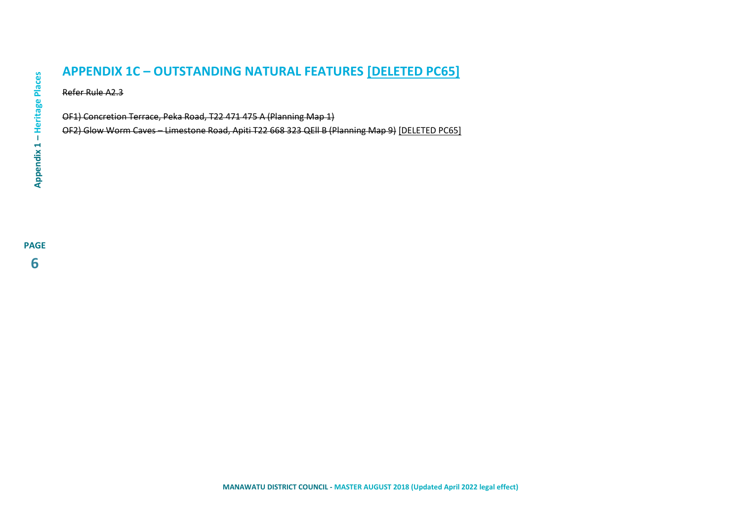# **APPENDIX 1C – OUTSTANDING NATURAL FEATURES [DELETED PC65]**

Refer Rule A2.3

OF1) Concretion Terrace, Peka Road, T22 471 475 A (Planning Map 1)

<span id="page-9-0"></span>OF2) Glow Worm Caves – Limestone Road, Apiti T22 668 323 QEll B (Planning Map 9) [DELETED PC65]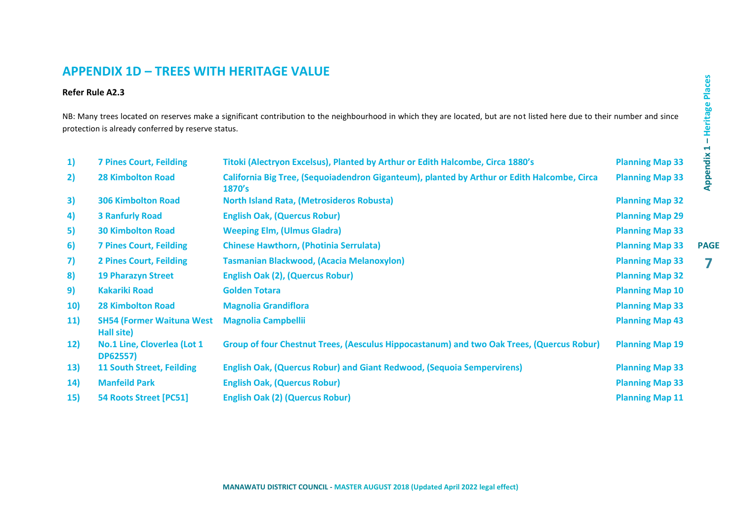# **APPENDIX 1D – TREES WITH HERITAGE VALUE**

### **Refer Rule A2.3**

NB: Many trees located on reserves make a significant contribution to the neighbourhood in which they are located, but are not listed here due to their number and since protection is already conferred by reserve status.

<span id="page-10-1"></span><span id="page-10-0"></span>

| 1)  | <b>7 Pines Court, Feilding</b>                  | Titoki (Alectryon Excelsus), Planted by Arthur or Edith Halcombe, Circa 1880's                        | <b>Planning Map 33</b> | 습           |
|-----|-------------------------------------------------|-------------------------------------------------------------------------------------------------------|------------------------|-------------|
| 2)  | <b>28 Kimbolton Road</b>                        | California Big Tree, (Sequoiadendron Giganteum), planted by Arthur or Edith Halcombe, Circa<br>1870's | <b>Planning Map 33</b> | Appe        |
| 3)  | <b>306 Kimbolton Road</b>                       | <b>North Island Rata, (Metrosideros Robusta)</b>                                                      | <b>Planning Map 32</b> |             |
| 4)  | <b>3 Ranfurly Road</b>                          | <b>English Oak, (Quercus Robur)</b>                                                                   | <b>Planning Map 29</b> |             |
| 5)  | <b>30 Kimbolton Road</b>                        | <b>Weeping Elm, (Ulmus Gladra)</b>                                                                    | <b>Planning Map 33</b> |             |
| 6)  | <b>7 Pines Court, Feilding</b>                  | <b>Chinese Hawthorn, (Photinia Serrulata)</b>                                                         | <b>Planning Map 33</b> | <b>PAGE</b> |
| 7)  | <b>2 Pines Court, Feilding</b>                  | <b>Tasmanian Blackwood, (Acacia Melanoxylon)</b>                                                      | <b>Planning Map 33</b> | 7           |
| 8)  | <b>19 Pharazyn Street</b>                       | <b>English Oak (2), (Quercus Robur)</b>                                                               | <b>Planning Map 32</b> |             |
| 9)  | Kakariki Road                                   | <b>Golden Totara</b>                                                                                  | <b>Planning Map 10</b> |             |
| 10) | <b>28 Kimbolton Road</b>                        | <b>Magnolia Grandiflora</b>                                                                           | <b>Planning Map 33</b> |             |
| 11) | <b>SH54 (Former Waituna West)</b><br>Hall site) | <b>Magnolia Campbellii</b>                                                                            | <b>Planning Map 43</b> |             |
| 12) | No.1 Line, Cloverlea (Lot 1<br><b>DP62557)</b>  | Group of four Chestnut Trees, (Aesculus Hippocastanum) and two Oak Trees, (Quercus Robur)             | <b>Planning Map 19</b> |             |
| 13) | <b>11 South Street, Feilding</b>                | <b>English Oak, (Quercus Robur) and Giant Redwood, (Sequoia Sempervirens)</b>                         | <b>Planning Map 33</b> |             |
| 14) | <b>Manfeild Park</b>                            | <b>English Oak, (Quercus Robur)</b>                                                                   | <b>Planning Map 33</b> |             |
| 15) | 54 Roots Street [PC51]                          | <b>English Oak (2) (Quercus Robur)</b>                                                                | <b>Planning Map 11</b> |             |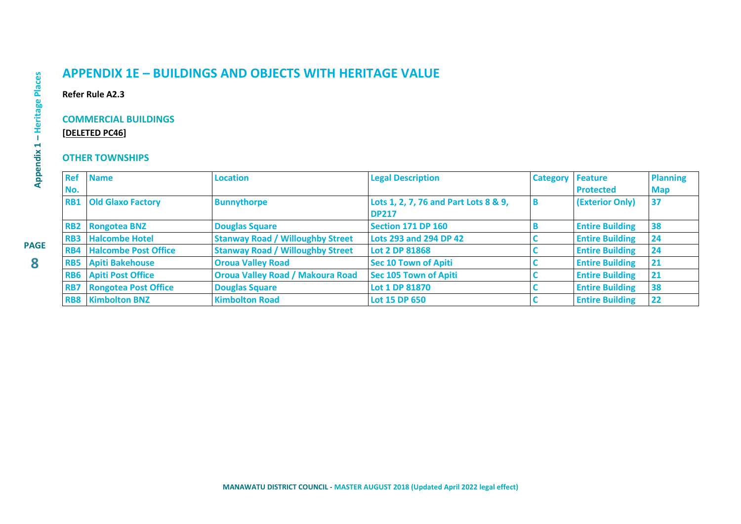# **APPENDIX 1E – BUILDINGS AND OBJECTS WITH HERITAGE VALUE**

**Refer Rule A2.3** 

### **COMMERCIAL BUILDINGS**

### **[DELETED PC46]**

### **OTHER TOWNSHIPS**

<span id="page-11-1"></span><span id="page-11-0"></span>

| <b>Ref</b> | <b>Name</b>                     | <b>Location</b>                         | <b>Legal Description</b>                              | <b>Category</b> | Feature                | <b>Planning</b> |
|------------|---------------------------------|-----------------------------------------|-------------------------------------------------------|-----------------|------------------------|-----------------|
| No.        |                                 |                                         |                                                       |                 | <b>Protected</b>       | <b>Map</b>      |
|            | <b>RB1</b> Old Glaxo Factory    | <b>Bunnythorpe</b>                      | Lots 1, 2, 7, 76 and Part Lots 8 & 9,<br><b>DP217</b> | B               | (Exterior Only)        | 37              |
|            | <b>RB2</b> Rongotea BNZ         | <b>Douglas Square</b>                   | <b>Section 171 DP 160</b>                             |                 | <b>Entire Building</b> | 38              |
|            | <b>RB3</b> Halcombe Hotel       | <b>Stanway Road / Willoughby Street</b> | Lots 293 and 294 DP 42                                |                 | <b>Entire Building</b> | 24              |
|            | <b>RB4</b> Halcombe Post Office | <b>Stanway Road / Willoughby Street</b> | <b>Lot 2 DP 81868</b>                                 |                 | <b>Entire Building</b> | 24              |
|            | <b>RB5</b> Apiti Bakehouse      | <b>Oroua Valley Road</b>                | <b>Sec 10 Town of Apiti</b>                           |                 | <b>Entire Building</b> | 21              |
|            | <b>RB6</b> Apiti Post Office    | <b>Oroua Valley Road / Makoura Road</b> | Sec 105 Town of Apiti                                 |                 | <b>Entire Building</b> | 21              |
|            | <b>RB7</b> Rongotea Post Office | <b>Douglas Square</b>                   | Lot 1 DP 81870                                        |                 | <b>Entire Building</b> | 38              |
|            | <b>RB8</b> Kimbolton BNZ        | <b>Kimbolton Road</b>                   | Lot 15 DP 650                                         |                 | <b>Entire Building</b> | 22              |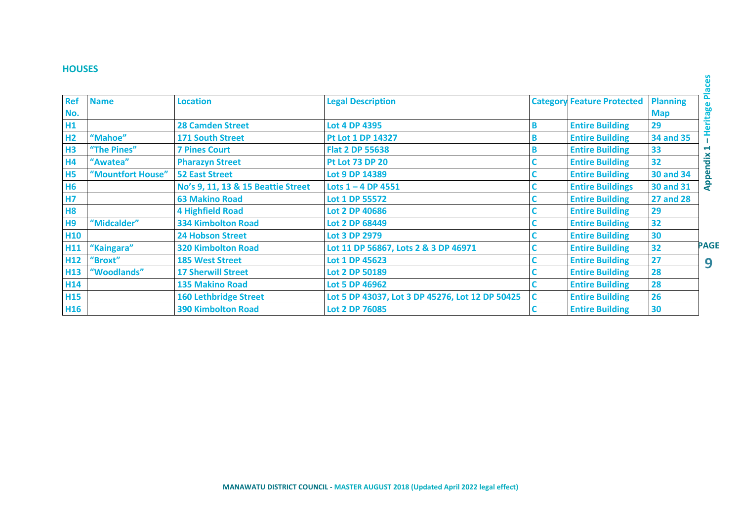### **HOUSES**

<span id="page-12-0"></span>

| <b>Ref</b><br>No. | <b>Name</b>       | <b>Location</b>                    | <b>Legal Description</b>                        | <b>Category Feature Protected</b> | <b>Planning</b><br><b>Map</b> | bn           |
|-------------------|-------------------|------------------------------------|-------------------------------------------------|-----------------------------------|-------------------------------|--------------|
| H1                |                   | <b>28 Camden Street</b>            | <b>Lot 4 DP 4395</b>                            | <b>Entire Building</b>            | 29                            |              |
| H <sub>2</sub>    | "Mahoe"           | <b>171 South Street</b>            | Pt Lot 1 DP 14327                               | <b>Entire Building</b>            | 34 and 35                     |              |
| H3                | "The Pines"       | <b>7 Pines Court</b>               | <b>Flat 2 DP 55638</b>                          | <b>Entire Building</b>            | 33                            |              |
| H <sub>4</sub>    | "Awatea"          | <b>Pharazyn Street</b>             | <b>Pt Lot 73 DP 20</b>                          | <b>Entire Building</b>            | 32                            | ㅎ            |
| <b>H5</b>         | "Mountfort House" | <b>52 East Street</b>              | Lot 9 DP 14389                                  | <b>Entire Building</b>            | <b>30 and 34</b>              | ω            |
| <b>H6</b>         |                   | No's 9, 11, 13 & 15 Beattie Street | Lots $1 - 4$ DP 4551                            | <b>Entire Buildings</b>           | <b>30 and 31</b>              | $\mathbf{a}$ |
| <b>H7</b>         |                   | <b>63 Makino Road</b>              | Lot 1 DP 55572                                  | <b>Entire Building</b>            | <b>27 and 28</b>              |              |
| <b>H8</b>         |                   | <b>4 Highfield Road</b>            | <b>Lot 2 DP 40686</b>                           | <b>Entire Building</b>            | 29                            |              |
| H9                | "Midcalder"       | <b>334 Kimbolton Road</b>          | <b>Lot 2 DP 68449</b>                           | <b>Entire Building</b>            | 32                            |              |
| <b>H10</b>        |                   | <b>24 Hobson Street</b>            | <b>Lot 3 DP 2979</b>                            | <b>Entire Building</b>            | 30                            |              |
| H <sub>11</sub>   | "Kaingara"        | <b>320 Kimbolton Road</b>          | Lot 11 DP 56867, Lots 2 & 3 DP 46971            | <b>Entire Building</b>            | 32                            | <b>PAGE</b>  |
| H <sub>12</sub>   | "Broxt"           | <b>185 West Street</b>             | Lot 1 DP 45623                                  | <b>Entire Building</b>            | 27                            | 9            |
| <b>H13</b>        | "Woodlands"       | <b>17 Sherwill Street</b>          | <b>Lot 2 DP 50189</b>                           | <b>Entire Building</b>            | 28                            |              |
| <b>H14</b>        |                   | <b>135 Makino Road</b>             | Lot 5 DP 46962                                  | <b>Entire Building</b>            | 28                            |              |
| <b>H15</b>        |                   | <b>160 Lethbridge Street</b>       | Lot 5 DP 43037, Lot 3 DP 45276, Lot 12 DP 50425 | <b>Entire Building</b>            | 26                            |              |
| H <sub>16</sub>   |                   | <b>390 Kimbolton Road</b>          | <b>Lot 2 DP 76085</b>                           | <b>Entire Building</b>            | 30                            |              |

aces **– Heritage Places** ಀೣ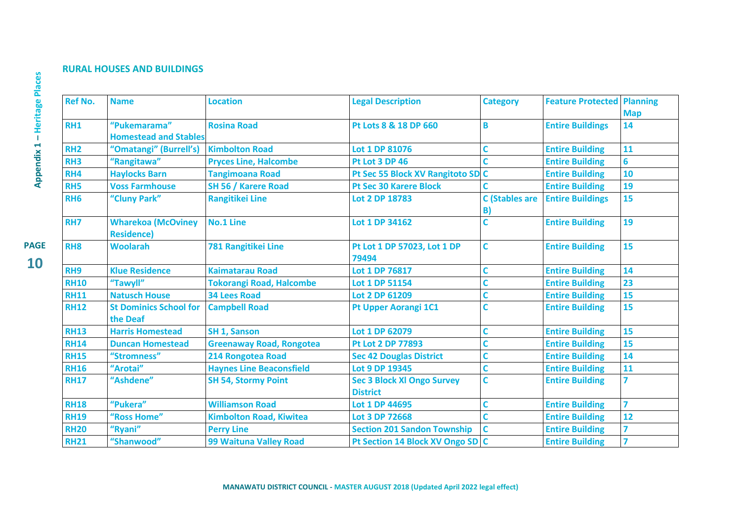### **RURAL HOUSES AND BUILDINGS**

**Appendix 1 - Heritage Places L** – **Heritage Place** PAGE<br>10<br>
10 **– Heritage Places**

<span id="page-13-0"></span>

| <b>Ref No.</b>  | <b>Name</b>                                    | <b>Location</b>                 | <b>Legal Description</b>                             | <b>Category</b>       | <b>Feature Protected Planning</b> |                  |
|-----------------|------------------------------------------------|---------------------------------|------------------------------------------------------|-----------------------|-----------------------------------|------------------|
| <b>RH1</b>      | "Pukemarama"<br><b>Homestead and Stables</b>   | <b>Rosina Road</b>              | Pt Lots 8 & 18 DP 660                                | B                     | <b>Entire Buildings</b>           | <b>Map</b><br>14 |
| RH <sub>2</sub> | "Omatangi" (Burrell's)                         | <b>Kimbolton Road</b>           | Lot 1 DP 81076                                       | C                     | <b>Entire Building</b>            | 11               |
| RH <sub>3</sub> | "Rangitawa"                                    | <b>Pryces Line, Halcombe</b>    | Pt Lot 3 DP 46                                       | Ċ                     | <b>Entire Building</b>            | 6                |
| RH4             | <b>Haylocks Barn</b>                           | <b>Tangimoana Road</b>          | Pt Sec 55 Block XV Rangitoto SD C                    |                       | <b>Entire Building</b>            | 10               |
| RH <sub>5</sub> | <b>Voss Farmhouse</b>                          | <b>SH 56 / Karere Road</b>      | <b>Pt Sec 30 Karere Block</b>                        |                       | <b>Entire Building</b>            | 19               |
| RH <sub>6</sub> | "Cluny Park"                                   | <b>Rangitikei Line</b>          | <b>Lot 2 DP 18783</b>                                | <b>C</b> (Stables are | <b>Entire Buildings</b>           | 15               |
| RH <sub>7</sub> | <b>Wharekoa (McOviney</b><br><b>Residence)</b> | <b>No.1 Line</b>                | Lot 1 DP 34162                                       | $\vert B \vert$<br>Ċ  | <b>Entire Building</b>            | 19               |
| RH <sub>8</sub> | <b>Woolarah</b>                                | 781 Rangitikei Line             | Pt Lot 1 DP 57023, Lot 1 DP<br>79494                 | Ċ                     | <b>Entire Building</b>            | 15               |
| RH <sub>9</sub> | <b>Klue Residence</b>                          | <b>Kaimatarau Road</b>          | Lot 1 DP 76817                                       | C                     | <b>Entire Building</b>            | 14               |
| <b>RH10</b>     | "Tawyll"                                       | <b>Tokorangi Road, Halcombe</b> | Lot 1 DP 51154                                       | Ċ                     | <b>Entire Building</b>            | 23               |
| <b>RH11</b>     | <b>Natusch House</b>                           | <b>34 Lees Road</b>             | Lot 2 DP 61209                                       | Ċ                     | <b>Entire Building</b>            | 15               |
| <b>RH12</b>     | <b>St Dominics School for</b><br>the Deaf      | <b>Campbell Road</b>            | Pt Upper Aorangi 1C1                                 | Ċ                     | <b>Entire Building</b>            | 15               |
| <b>RH13</b>     | <b>Harris Homestead</b>                        | SH 1, Sanson                    | Lot 1 DP 62079                                       | Ċ                     | <b>Entire Building</b>            | 15               |
| <b>RH14</b>     | <b>Duncan Homestead</b>                        | <b>Greenaway Road, Rongotea</b> | <b>Pt Lot 2 DP 77893</b>                             | Ċ                     | <b>Entire Building</b>            | 15               |
| <b>RH15</b>     | "Stromness"                                    | 214 Rongotea Road               | <b>Sec 42 Douglas District</b>                       | Ċ                     | <b>Entire Building</b>            | 14               |
| <b>RH16</b>     | "Arotai"                                       | <b>Haynes Line Beaconsfield</b> | <b>Lot 9 DP 19345</b>                                | Ċ                     | <b>Entire Building</b>            | 11               |
| <b>RH17</b>     | "Ashdene"                                      | <b>SH 54, Stormy Point</b>      | <b>Sec 3 Block XI Ongo Survey</b><br><b>District</b> | Ċ                     | <b>Entire Building</b>            | 7                |
| <b>RH18</b>     | "Pukera"                                       | <b>Williamson Road</b>          | Lot 1 DP 44695                                       | Ċ                     | <b>Entire Building</b>            | $\overline{7}$   |
| <b>RH19</b>     | "Ross Home"                                    | <b>Kimbolton Road, Kiwitea</b>  | <b>Lot 3 DP 72668</b>                                | Ċ                     | <b>Entire Building</b>            | 12               |
| <b>RH20</b>     | "Ryani"                                        | <b>Perry Line</b>               | <b>Section 201 Sandon Township</b>                   | C                     | <b>Entire Building</b>            | $\overline{7}$   |
| <b>RH21</b>     | "Shanwood"                                     | 99 Waituna Valley Road          | Pt Section 14 Block XV Ongo SD C                     |                       | <b>Entire Building</b>            | $\overline{7}$   |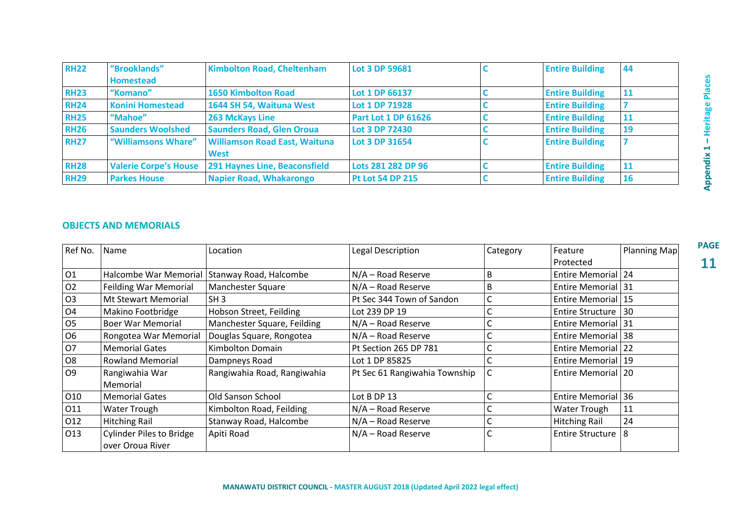| <b>RH22</b> | "Brooklands"                 | <b>Kimbolton Road, Cheltenham</b>                   | Lot 3 DP 59681             | <b>Entire Building</b> | 44        |
|-------------|------------------------------|-----------------------------------------------------|----------------------------|------------------------|-----------|
|             | <b>Homestead</b>             |                                                     |                            |                        |           |
| <b>RH23</b> | "Komano"                     | <b>1650 Kimbolton Road</b>                          | Lot 1 DP 66137             | <b>Entire Building</b> | <b>11</b> |
| <b>RH24</b> | <b>Konini Homestead</b>      | 1644 SH 54, Waituna West                            | Lot 1 DP 71928             | <b>Entire Building</b> |           |
| <b>RH25</b> | "Mahoe"                      | <b>263 McKays Line</b>                              | <b>Part Lot 1 DP 61626</b> | <b>Entire Building</b> | <b>11</b> |
| <b>RH26</b> | <b>Saunders Woolshed</b>     | <b>Saunders Road, Glen Oroua</b>                    | Lot 3 DP 72430             | <b>Entire Building</b> | 19        |
| <b>RH27</b> | "Williamsons Whare"          | <b>Williamson Road East, Waituna</b><br><b>West</b> | Lot 3 DP 31654             | <b>Entire Building</b> |           |
| <b>RH28</b> | <b>Valerie Corpe's House</b> | 291 Haynes Line, Beaconsfield                       | Lots 281 282 DP 96         | <b>Entire Building</b> | <b>11</b> |
| <b>RH29</b> | <b>Parkes House</b>          | <b>Napier Road, Whakarongo</b>                      | <b>Pt Lot 54 DP 215</b>    | <b>Entire Building</b> | <b>16</b> |

### **OBJECTS AND MEMORIALS**

<span id="page-14-0"></span>

| Ref No.        | Name                                                | Location                    | Legal Description             | Category     | Feature                 | Planning Map |
|----------------|-----------------------------------------------------|-----------------------------|-------------------------------|--------------|-------------------------|--------------|
|                |                                                     |                             |                               |              | Protected               |              |
| O1             | Halcombe War Memorial                               | Stanway Road, Halcombe      | $N/A$ – Road Reserve          | B            | Entire Memorial   24    |              |
| 02             | <b>Feilding War Memorial</b>                        | Manchester Square           | $N/A$ – Road Reserve          | B            | Entire Memorial 31      |              |
| O <sub>3</sub> | Mt Stewart Memorial                                 | SH <sub>3</sub>             | Pt Sec 344 Town of Sandon     | C            | Entire Memorial 15      |              |
| O <sub>4</sub> | Makino Footbridge                                   | Hobson Street, Feilding     | Lot 239 DP 19                 |              | Entire Structure   30   |              |
| O <sub>5</sub> | <b>Boer War Memorial</b>                            | Manchester Square, Feilding | $N/A$ – Road Reserve          |              | Entire Memorial 31      |              |
| O <sub>6</sub> | Rongotea War Memorial                               | Douglas Square, Rongotea    | $N/A$ – Road Reserve          |              | Entire Memorial 38      |              |
| <b>O7</b>      | <b>Memorial Gates</b>                               | Kimbolton Domain            | Pt Section 265 DP 781         |              | Entire Memorial   22    |              |
| O <sub>8</sub> | <b>Rowland Memorial</b>                             | Dampneys Road               | Lot 1 DP 85825                |              | Entire Memorial   19    |              |
| O <sub>9</sub> | Rangiwahia War                                      | Rangiwahia Road, Rangiwahia | Pt Sec 61 Rangiwahia Township | $\mathsf{C}$ | Entire Memorial 20      |              |
|                | Memorial                                            |                             |                               |              |                         |              |
| 010            | <b>Memorial Gates</b>                               | Old Sanson School           | Lot B DP 13                   |              | Entire Memorial 36      |              |
| O11            | <b>Water Trough</b>                                 | Kimbolton Road, Feilding    | $N/A$ – Road Reserve          |              | <b>Water Trough</b>     | 11           |
| O12            | <b>Hitching Rail</b>                                | Stanway Road, Halcombe      | $N/A$ – Road Reserve          |              | <b>Hitching Rail</b>    | 24           |
| 013            | <b>Cylinder Piles to Bridge</b><br>over Oroua River | Apiti Road                  | $N/A$ – Road Reserve          |              | <b>Entire Structure</b> | 8            |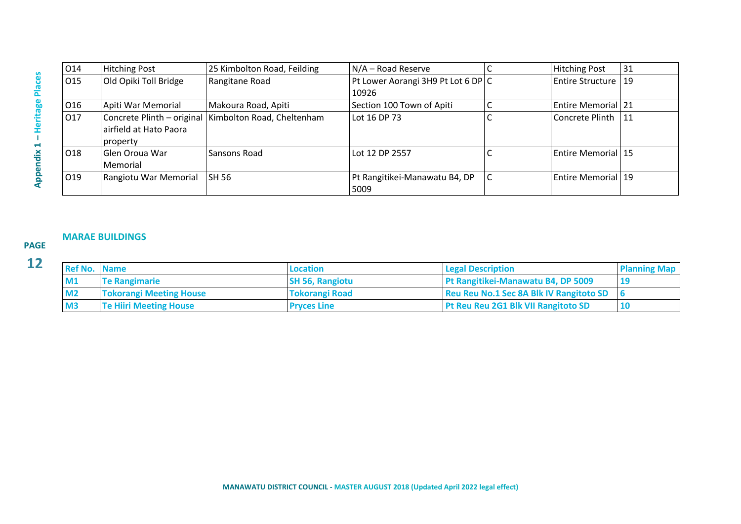| O14             | <b>Hitching Post</b>               | 25 Kimbolton Road, Feilding                             | N/A - Road Reserve                          |   | <b>Hitching Post</b>  | 31 |
|-----------------|------------------------------------|---------------------------------------------------------|---------------------------------------------|---|-----------------------|----|
| 015             | Old Opiki Toll Bridge              | Rangitane Road                                          | Pt Lower Aorangi 3H9 Pt Lot 6 DP C<br>10926 |   | Entire Structure   19 |    |
| 016             | Apiti War Memorial                 | Makoura Road, Apiti                                     | Section 100 Town of Apiti                   |   | Entire Memorial 21    |    |
| O <sub>17</sub> | airfield at Hato Paora<br>property | Concrete Plinth - original   Kimbolton Road, Cheltenham | Lot 16 DP 73                                |   | Concrete Plinth   11  |    |
| 018             | Glen Oroua War<br>Memorial         | Sansons Road                                            | Lot 12 DP 2557                              |   | Entire Memorial   15  |    |
| 019             | Rangiotu War Memorial              | <b>SH 56</b>                                            | Pt Rangitikei-Manawatu B4, DP<br>5009       | С | Entire Memorial 19    |    |

### **MARAE BUILDINGS**

<span id="page-15-0"></span>

| <b>Ref No. Name</b> |                                | <b>Location</b>        | <b>Legal Description</b>                  | <b>Planning Map</b> |
|---------------------|--------------------------------|------------------------|-------------------------------------------|---------------------|
| M1                  | <b>Te Rangimarie</b>           | <b>SH 56, Rangiotu</b> | <b>Pt Rangitikei-Manawatu B4, DP 5009</b> | 19                  |
| M <sub>2</sub>      | <b>Tokorangi Meeting House</b> | <b>Tokorangi Road</b>  | Reu Reu No.1 Sec 8A Blk IV Rangitoto SD 6 |                     |
| M <sub>3</sub>      | <b>Te Hiiri Meeting House</b>  | <b>Pryces Line</b>     | Pt Reu Reu 2G1 Blk VII Rangitoto SD       | <b>10</b>           |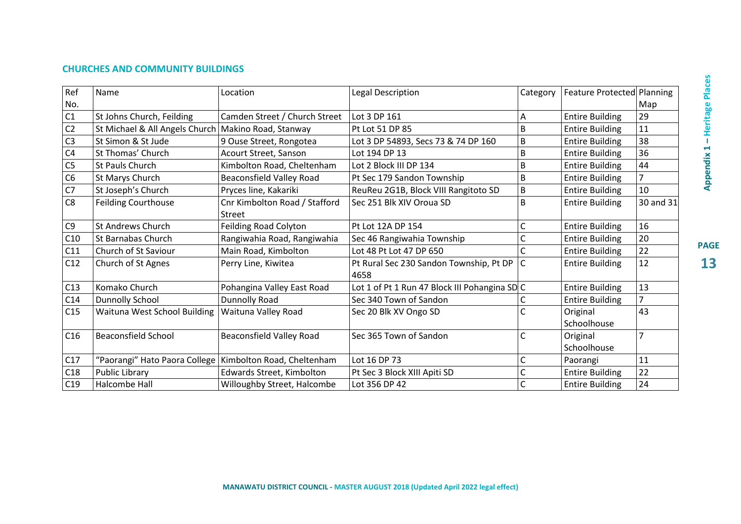### **CHURCHES AND COMMUNITY BUILDINGS**

<span id="page-16-0"></span>

| Ref            | Name                                                  | Location                        | Legal Description                             | Category | Feature Protected Planning |                |
|----------------|-------------------------------------------------------|---------------------------------|-----------------------------------------------|----------|----------------------------|----------------|
| No.            |                                                       |                                 |                                               |          |                            | Map            |
| C1             | St Johns Church, Feilding                             | Camden Street / Church Street   | Lot 3 DP 161                                  | Α        | <b>Entire Building</b>     | 29             |
| C <sub>2</sub> | St Michael & All Angels Church   Makino Road, Stanway |                                 | Pt Lot 51 DP 85                               | B        | <b>Entire Building</b>     | 11             |
| C <sub>3</sub> | St Simon & St Jude                                    | 9 Ouse Street, Rongotea         | Lot 3 DP 54893, Secs 73 & 74 DP 160           | B        | <b>Entire Building</b>     | 38             |
| C4             | St Thomas' Church                                     | Acourt Street, Sanson           | Lot 194 DP 13                                 | B        | <b>Entire Building</b>     | 36             |
| C <sub>5</sub> | <b>St Pauls Church</b>                                | Kimbolton Road, Cheltenham      | Lot 2 Block III DP 134                        | B        | <b>Entire Building</b>     | 44             |
| C <sub>6</sub> | St Marys Church                                       | <b>Beaconsfield Valley Road</b> | Pt Sec 179 Sandon Township                    | B        | <b>Entire Building</b>     | $\overline{7}$ |
| C7             | St Joseph's Church                                    | Pryces line, Kakariki           | ReuReu 2G1B, Block VIII Rangitoto SD          | B        | <b>Entire Building</b>     | 10             |
| C <sub>8</sub> | <b>Feilding Courthouse</b>                            | Cnr Kimbolton Road / Stafford   | Sec 251 Blk XIV Oroua SD                      | B        | <b>Entire Building</b>     | 30 and 31      |
|                |                                                       | <b>Street</b>                   |                                               |          |                            |                |
| C <sub>9</sub> | <b>St Andrews Church</b>                              | <b>Feilding Road Colyton</b>    | Pt Lot 12A DP 154                             | С        | <b>Entire Building</b>     | 16             |
| C10            | St Barnabas Church                                    | Rangiwahia Road, Rangiwahia     | Sec 46 Rangiwahia Township                    | С        | <b>Entire Building</b>     | 20             |
| C11            | <b>Church of St Saviour</b>                           | Main Road, Kimbolton            | Lot 48 Pt Lot 47 DP 650                       | C        | <b>Entire Building</b>     | 22             |
| C12            | Church of St Agnes                                    | Perry Line, Kiwitea             | Pt Rural Sec 230 Sandon Township, Pt DP   C   |          | <b>Entire Building</b>     | 12             |
|                |                                                       |                                 | 4658                                          |          |                            |                |
| C13            | Komako Church                                         | Pohangina Valley East Road      | Lot 1 of Pt 1 Run 47 Block III Pohangina SD C |          | <b>Entire Building</b>     | 13             |
| C14            | <b>Dunnolly School</b>                                | Dunnolly Road                   | Sec 340 Town of Sandon                        | C        | <b>Entire Building</b>     | $\overline{7}$ |
| C15            | Waituna West School Building                          | Waituna Valley Road             | Sec 20 Blk XV Ongo SD                         | C        | Original                   | 43             |
|                |                                                       |                                 |                                               |          | Schoolhouse                |                |
| C16            | <b>Beaconsfield School</b>                            | <b>Beaconsfield Valley Road</b> | Sec 365 Town of Sandon                        | C        | Original                   |                |
|                |                                                       |                                 |                                               |          | Schoolhouse                |                |
| C17            | "Paorangi" Hato Paora College                         | Kimbolton Road, Cheltenham      | Lot 16 DP 73                                  | C        | Paorangi                   | 11             |
| C18            | <b>Public Library</b>                                 | Edwards Street, Kimbolton       | Pt Sec 3 Block XIII Apiti SD                  |          | <b>Entire Building</b>     | 22             |
| C19            | Halcombe Hall                                         | Willoughby Street, Halcombe     | Lot 356 DP 42                                 | C        | <b>Entire Building</b>     | 24             |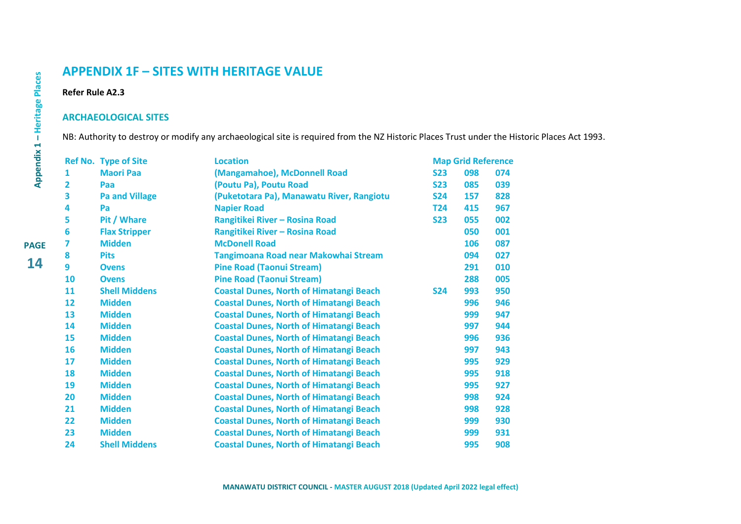# **APPENDIX 1F – SITES WITH HERITAGE VALUE**

### **Refer Rule A2.3**

### **ARCHAEOLOGICAL SITES**

NB: Authority to destroy or modify any archaeological site is required from the NZ Historic Places Trust under the Historic Places Act 1993.

<span id="page-17-1"></span><span id="page-17-0"></span>

|    | <b>Ref No. Type of Site</b> | <b>Location</b>                                |            | <b>Map Grid Reference</b> |     |
|----|-----------------------------|------------------------------------------------|------------|---------------------------|-----|
| 1  | <b>Maori Paa</b>            | (Mangamahoe), McDonnell Road                   | <b>S23</b> | 098                       | 074 |
| 2  | Paa                         | (Poutu Pa), Poutu Road                         | <b>S23</b> | 085                       | 039 |
| 3  | <b>Pa and Village</b>       | (Puketotara Pa), Manawatu River, Rangiotu      | <b>S24</b> | 157                       | 828 |
| 4  | Pa                          | <b>Napier Road</b>                             | <b>T24</b> | 415                       | 967 |
| 5  | Pit / Whare                 | Rangitikei River - Rosina Road                 | <b>S23</b> | 055                       | 002 |
| 6  | <b>Flax Stripper</b>        | Rangitikei River - Rosina Road                 |            | 050                       | 001 |
| 7  | <b>Midden</b>               | <b>McDonell Road</b>                           |            | 106                       | 087 |
| 8  | <b>Pits</b>                 | Tangimoana Road near Makowhai Stream           |            | 094                       | 027 |
| 9  | <b>Ovens</b>                | <b>Pine Road (Taonui Stream)</b>               |            | 291                       | 010 |
| 10 | <b>Ovens</b>                | <b>Pine Road (Taonui Stream)</b>               |            | 288                       | 005 |
| 11 | <b>Shell Middens</b>        | <b>Coastal Dunes, North of Himatangi Beach</b> | <b>S24</b> | 993                       | 950 |
| 12 | <b>Midden</b>               | <b>Coastal Dunes, North of Himatangi Beach</b> |            | 996                       | 946 |
| 13 | <b>Midden</b>               | <b>Coastal Dunes, North of Himatangi Beach</b> |            | 999                       | 947 |
| 14 | <b>Midden</b>               | <b>Coastal Dunes, North of Himatangi Beach</b> |            | 997                       | 944 |
| 15 | <b>Midden</b>               | <b>Coastal Dunes, North of Himatangi Beach</b> |            | 996                       | 936 |
| 16 | <b>Midden</b>               | <b>Coastal Dunes, North of Himatangi Beach</b> |            | 997                       | 943 |
| 17 | <b>Midden</b>               | <b>Coastal Dunes, North of Himatangi Beach</b> |            | 995                       | 929 |
| 18 | <b>Midden</b>               | <b>Coastal Dunes, North of Himatangi Beach</b> |            | 995                       | 918 |
| 19 | <b>Midden</b>               | <b>Coastal Dunes, North of Himatangi Beach</b> |            | 995                       | 927 |
| 20 | <b>Midden</b>               | <b>Coastal Dunes, North of Himatangi Beach</b> |            | 998                       | 924 |
| 21 | <b>Midden</b>               | <b>Coastal Dunes, North of Himatangi Beach</b> |            | 998                       | 928 |
| 22 | <b>Midden</b>               | <b>Coastal Dunes, North of Himatangi Beach</b> |            | 999                       | 930 |
| 23 | <b>Midden</b>               | <b>Coastal Dunes, North of Himatangi Beach</b> |            | 999                       | 931 |
| 24 | <b>Shell Middens</b>        | <b>Coastal Dunes, North of Himatangi Beach</b> |            | 995                       | 908 |

**MANAWATU DISTRICT COUNCIL - MASTER AUGUST 2018 (Updated April 2022 legal effect)**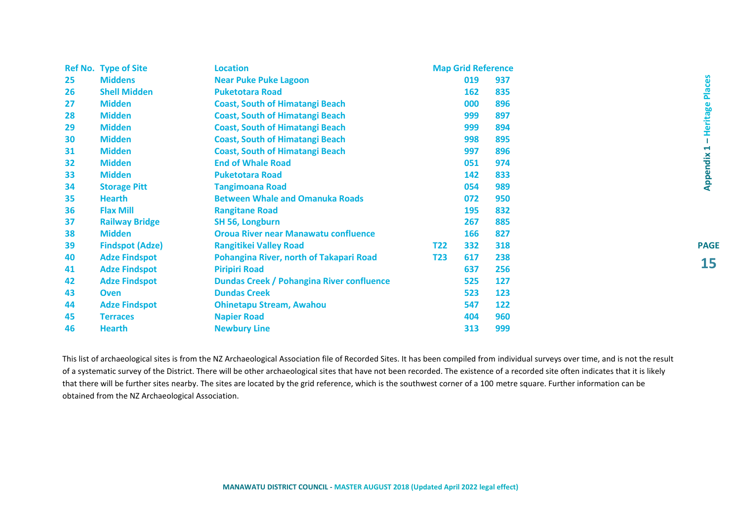|    | <b>Ref No. Type of Site</b> | <b>Location</b>                             | <b>Map Grid Reference</b> |     |     |  |
|----|-----------------------------|---------------------------------------------|---------------------------|-----|-----|--|
| 25 | <b>Middens</b>              | <b>Near Puke Puke Lagoon</b>                |                           | 019 | 937 |  |
| 26 | <b>Shell Midden</b>         | <b>Puketotara Road</b>                      |                           | 162 | 835 |  |
| 27 | <b>Midden</b>               | <b>Coast, South of Himatangi Beach</b>      |                           | 000 | 896 |  |
| 28 | <b>Midden</b>               | <b>Coast, South of Himatangi Beach</b>      |                           | 999 | 897 |  |
| 29 | <b>Midden</b>               | <b>Coast, South of Himatangi Beach</b>      |                           | 999 | 894 |  |
| 30 | <b>Midden</b>               | <b>Coast, South of Himatangi Beach</b>      |                           | 998 | 895 |  |
| 31 | <b>Midden</b>               | <b>Coast, South of Himatangi Beach</b>      |                           | 997 | 896 |  |
| 32 | <b>Midden</b>               | <b>End of Whale Road</b>                    |                           | 051 | 974 |  |
| 33 | <b>Midden</b>               | <b>Puketotara Road</b>                      |                           | 142 | 833 |  |
| 34 | <b>Storage Pitt</b>         | <b>Tangimoana Road</b>                      |                           | 054 | 989 |  |
| 35 | <b>Hearth</b>               | <b>Between Whale and Omanuka Roads</b>      |                           | 072 | 950 |  |
| 36 | <b>Flax Mill</b>            | <b>Rangitane Road</b>                       |                           | 195 | 832 |  |
| 37 | <b>Railway Bridge</b>       | SH 56, Longburn                             |                           | 267 | 885 |  |
| 38 | <b>Midden</b>               | <b>Oroua River near Manawatu confluence</b> |                           | 166 | 827 |  |
| 39 | <b>Findspot (Adze)</b>      | <b>Rangitikei Valley Road</b>               | <b>T22</b>                | 332 | 318 |  |
| 40 | <b>Adze Findspot</b>        | Pohangina River, north of Takapari Road     | T23                       | 617 | 238 |  |
| 41 | <b>Adze Findspot</b>        | <b>Piripiri Road</b>                        |                           | 637 | 256 |  |
| 42 | <b>Adze Findspot</b>        | Dundas Creek / Pohangina River confluence   |                           | 525 | 127 |  |
| 43 | <b>Oven</b>                 | <b>Dundas Creek</b>                         |                           | 523 | 123 |  |
| 44 | <b>Adze Findspot</b>        | <b>Ohinetapu Stream, Awahou</b>             |                           | 547 | 122 |  |
| 45 | <b>Terraces</b>             | <b>Napier Road</b>                          |                           | 404 | 960 |  |
| 46 | <b>Hearth</b>               | <b>Newbury Line</b>                         |                           | 313 | 999 |  |

This list of archaeological sites is from the NZ Archaeological Association file of Recorded Sites. It has been compiled from individual surveys over time, and is not the result of a systematic survey of the District. There will be other archaeological sites that have not been recorded. The existence of a recorded site often indicates that it is likely that there will be further sites nearby. The sites are located by the grid reference, which is the southwest corner of a 100 metre square. Further information can be obtained from the NZ Archaeological Association.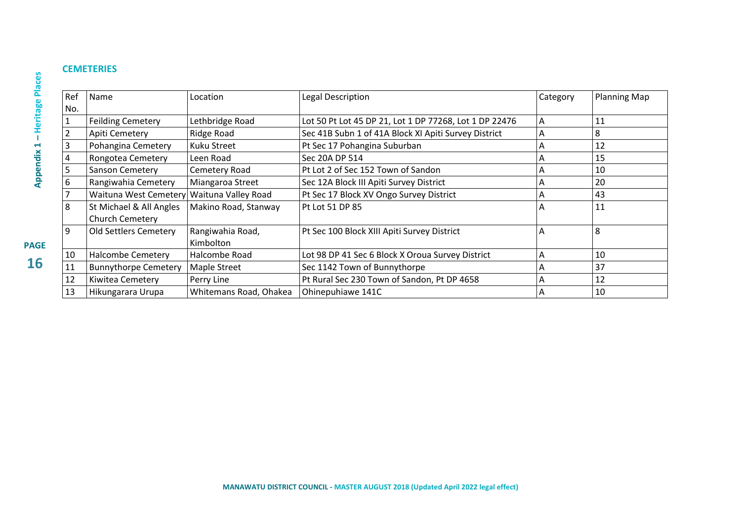### **CEMETERIES**

**Appendix 1 - Heritage Places L** – **Heritage Place** PAGE<br>16<br>16 **– Heritage Places**

<span id="page-19-0"></span>

| Ref | <b>Name</b>                               | Location               | Legal Description                                      | Category | <b>Planning Map</b> |
|-----|-------------------------------------------|------------------------|--------------------------------------------------------|----------|---------------------|
| No. |                                           |                        |                                                        |          |                     |
|     | <b>Feilding Cemetery</b>                  | Lethbridge Road        | Lot 50 Pt Lot 45 DP 21, Lot 1 DP 77268, Lot 1 DP 22476 | A        | 11                  |
|     | Apiti Cemetery                            | Ridge Road             | Sec 41B Subn 1 of 41A Block XI Apiti Survey District   | A        | 8                   |
| 3   | Pohangina Cemetery                        | Kuku Street            | Pt Sec 17 Pohangina Suburban                           | A        | 12                  |
| 4   | Rongotea Cemetery                         | Leen Road              | Sec 20A DP 514                                         | A        | 15                  |
| 5   | Sanson Cemetery                           | Cemetery Road          | Pt Lot 2 of Sec 152 Town of Sandon                     | A        | 10                  |
| 6   | Rangiwahia Cemetery                       | Miangaroa Street       | Sec 12A Block III Apiti Survey District                | A        | 20                  |
|     | Waituna West Cemetery Waituna Valley Road |                        | Pt Sec 17 Block XV Ongo Survey District                | A        | 43                  |
| 8   | St Michael & All Angles                   | Makino Road, Stanway   | Pt Lot 51 DP 85                                        | A        | 11                  |
|     | <b>Church Cemetery</b>                    |                        |                                                        |          |                     |
| 9   | Old Settlers Cemetery                     | Rangiwahia Road,       | Pt Sec 100 Block XIII Apiti Survey District            | A        | 8                   |
|     |                                           | Kimbolton              |                                                        |          |                     |
| 10  | <b>Halcombe Cemetery</b>                  | Halcombe Road          | Lot 98 DP 41 Sec 6 Block X Oroua Survey District       | A        | 10                  |
| 11  | <b>Bunnythorpe Cemetery</b>               | <b>Maple Street</b>    | Sec 1142 Town of Bunnythorpe                           | A        | 37                  |
| 12  | Kiwitea Cemetery                          | Perry Line             | Pt Rural Sec 230 Town of Sandon, Pt DP 4658            | A        | 12                  |
| 13  | Hikungarara Urupa                         | Whitemans Road, Ohakea | Ohinepuhiawe 141C                                      | A        | 10                  |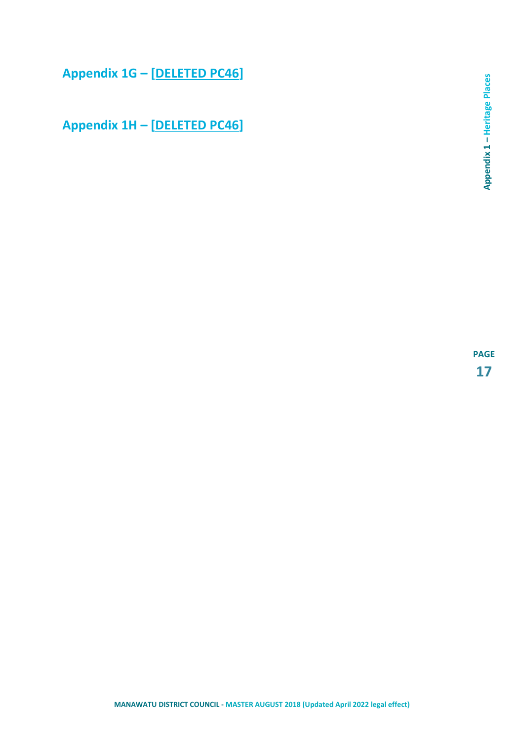<span id="page-20-0"></span>**Appendix 1G – [DELETED PC46]**

<span id="page-20-1"></span>**Appendix 1H – [DELETED PC46]**

PAGE 17 **PAGE** 17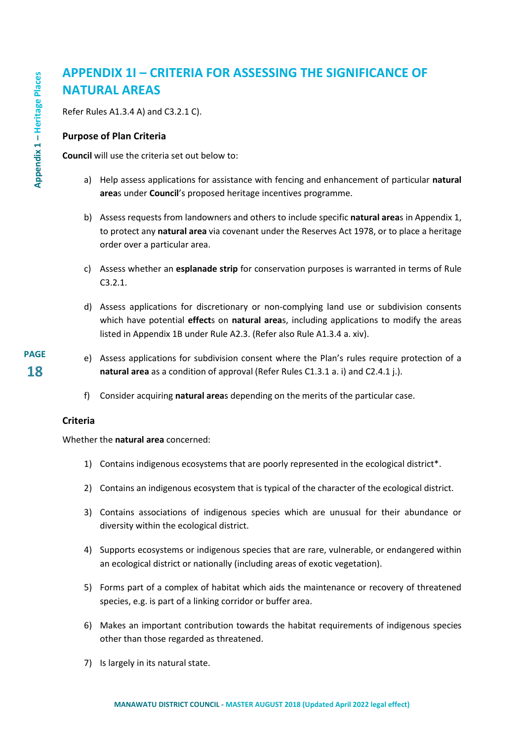# <span id="page-21-0"></span>**APPENDIX 1I – CRITERIA FOR ASSESSING THE SIGNIFICANCE OF NATURAL AREAS**

Refer Rules A1.3.4 A) and C3.2.1 C).

### **Purpose of Plan Criteria**

**Council** will use the criteria set out below to:

- a) Help assess applications for assistance with fencing and enhancement of particular **natural area**s under **Council**'s proposed heritage incentives programme.
- b) Assess requests from landowners and others to include specific **natural area**s in Appendix 1, to protect any **natural area** via covenant under the Reserves Act 1978, or to place a heritage order over a particular area.
- c) Assess whether an **esplanade strip** for conservation purposes is warranted in terms of Rule C3.2.1.
- d) Assess applications for discretionary or non-complying land use or subdivision consents which have potential **effect**s on **natural area**s, including applications to modify the areas listed in Appendix 1B under Rule A2.3. (Refer also Rule A1.3.4 a. xiv).
- e) Assess applications for subdivision consent where the Plan's rules require protection of a **natural area** as a condition of approval (Refer Rules C1.3.1 a. i) and C2.4.1 j.).
	- f) Consider acquiring **natural area**s depending on the merits of the particular case.

### **Criteria**

Whether the **natural area** concerned:

- 1) Contains indigenous ecosystems that are poorly represented in the ecological district\*.
- 2) Contains an indigenous ecosystem that is typical of the character of the ecological district.
- 3) Contains associations of indigenous species which are unusual for their abundance or diversity within the ecological district.
- 4) Supports ecosystems or indigenous species that are rare, vulnerable, or endangered within an ecological district or nationally (including areas of exotic vegetation).
- 5) Forms part of a complex of habitat which aids the maintenance or recovery of threatened species, e.g. is part of a linking corridor or buffer area.
- 6) Makes an important contribution towards the habitat requirements of indigenous species other than those regarded as threatened.
- 7) Is largely in its natural state.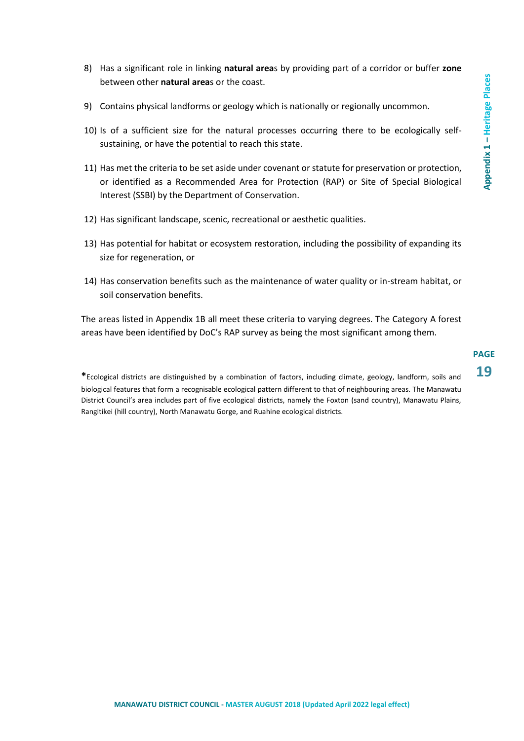- 8) Has a significant role in linking **natural area**s by providing part of a corridor or buffer **zone** between other **natural area**s or the coast.
- 9) Contains physical landforms or geology which is nationally or regionally uncommon.
- 10) Is of a sufficient size for the natural processes occurring there to be ecologically selfsustaining, or have the potential to reach this state.
- 11) Has met the criteria to be set aside under covenant or statute for preservation or protection, or identified as a Recommended Area for Protection (RAP) or Site of Special Biological Interest (SSBI) by the Department of Conservation.
- 12) Has significant landscape, scenic, recreational or aesthetic qualities.
- 13) Has potential for habitat or ecosystem restoration, including the possibility of expanding its size for regeneration, or
- 14) Has conservation benefits such as the maintenance of water quality or in-stream habitat, or soil conservation benefits.

The areas listed in Appendix 1B all meet these criteria to varying degrees. The Category A forest areas have been identified by DoC's RAP survey as being the most significant among them.

**\***Ecological districts are distinguished by a combination of factors, including climate, geology, landform, soils and biological features that form a recognisable ecological pattern different to that of neighbouring areas. The Manawatu District Council's area includes part of five ecological districts, namely the Foxton (sand country), Manawatu Plains, Rangitikei (hill country), North Manawatu Gorge, and Ruahine ecological districts.

# **19**<br>AGE<br>19 **PAGE** 19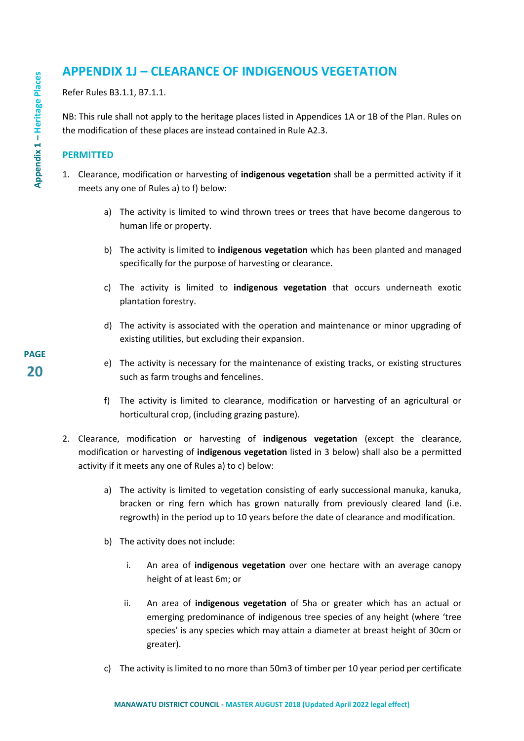# <span id="page-23-0"></span>**APPENDIX 1J – CLEARANCE OF INDIGENOUS VEGETATION**

Refer Rules B3.1.1, B7.1.1.

NB: This rule shall not apply to the heritage places listed in Appendices 1A or 1B of the Plan. Rules on the modification of these places are instead contained in Rule A2.3.

### <span id="page-23-1"></span>**PERMITTED**

- 1. Clearance, modification or harvesting of **indigenous vegetation** shall be a permitted activity if it meets any one of Rules a) to f) below:
	- a) The activity is limited to wind thrown trees or trees that have become dangerous to human life or property.
	- b) The activity is limited to **indigenous vegetation** which has been planted and managed specifically for the purpose of harvesting or clearance.
	- c) The activity is limited to **indigenous vegetation** that occurs underneath exotic plantation forestry.
	- d) The activity is associated with the operation and maintenance or minor upgrading of existing utilities, but excluding their expansion.
	- e) The activity is necessary for the maintenance of existing tracks, or existing structures such as farm troughs and fencelines.
	- f) The activity is limited to clearance, modification or harvesting of an agricultural or horticultural crop, (including grazing pasture).
- 2. Clearance, modification or harvesting of **indigenous vegetation** (except the clearance, modification or harvesting of **indigenous vegetation** listed in 3 below) shall also be a permitted activity if it meets any one of Rules a) to c) below:
	- a) The activity is limited to vegetation consisting of early successional manuka, kanuka, bracken or ring fern which has grown naturally from previously cleared land (i.e. regrowth) in the period up to 10 years before the date of clearance and modification.
	- b) The activity does not include:
		- i. An area of **indigenous vegetation** over one hectare with an average canopy height of at least 6m; or
		- ii. An area of **indigenous vegetation** of 5ha or greater which has an actual or emerging predominance of indigenous tree species of any height (where 'tree species' is any species which may attain a diameter at breast height of 30cm or greater).
	- c) The activity is limited to no more than 50m3 of timber per 10 year period per certificate

**20Appendix 1 PAGE** 20